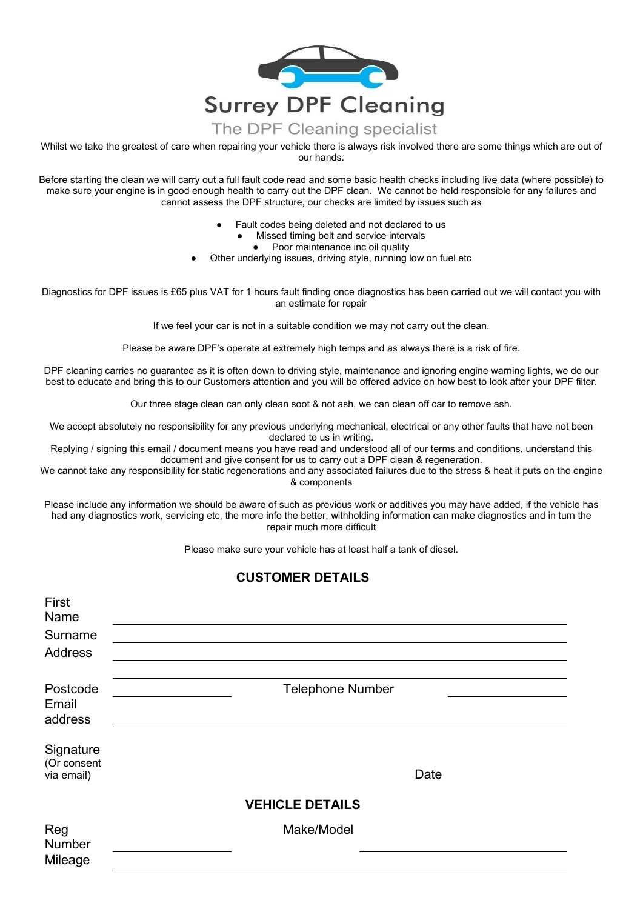

Whilst we take the greatest of care when repairing your vehicle there is always risk involved there are some things which are out of our hands.

Before starting the clean we will carry out a full fault code read and some basic health checks including live data (where possible) to make sure your engine is in good enough health to carry out the DPF clean. We cannot be held responsible for any failures and cannot assess the DPF structure, our checks are limited by issues such as

- Fault codes being deleted and not declared to us
	- Missed timing belt and service intervals
		- Poor maintenance inc oil quality
- Other underlying issues, driving style, running low on fuel etc

Diagnostics for DPF issues is £65 plus VAT for 1 hours fault finding once diagnostics has been carried out we will contact you with an estimate for repair

If we feel your car is not in a suitable condition we may not carry out the clean.

Please be aware DPF's operate at extremely high temps and as always there is a risk of fire.

DPF cleaning carries no guarantee as it is often down to driving style, maintenance and ignoring engine warning lights, we do our best to educate and bring this to our Customers attention and you will be offered advice on how best to look after your DPF filter.

Our three stage clean can only clean soot & not ash, we can clean off car to remove ash.

We accept absolutely no responsibility for any previous underlying mechanical, electrical or any other faults that have not been declared to us in writing.

Replying / signing this email / document means you have read and understood all of our terms and conditions, understand this document and give consent for us to carry out a DPF clean & regeneration.

We cannot take any responsibility for static regenerations and any associated failures due to the stress & heat it puts on the engine & components

Please include any information we should be aware of such as previous work or additives you may have added, if the vehicle has had any diagnostics work, servicing etc, the more info the better, withholding information can make diagnostics and in turn the repair much more difficult

Please make sure your vehicle has at least half a tank of diesel.

## **CUSTOMER DETAILS**

| First<br>Name<br>Surname<br><b>Address</b> |                         |
|--------------------------------------------|-------------------------|
| Postcode<br>Email<br>address               | <b>Telephone Number</b> |
| Signature<br>(Or consent<br>via email)     | Date                    |
|                                            | <b>VEHICLE DETAILS</b>  |
| Reg<br>Number<br>Mileage                   | Make/Model              |